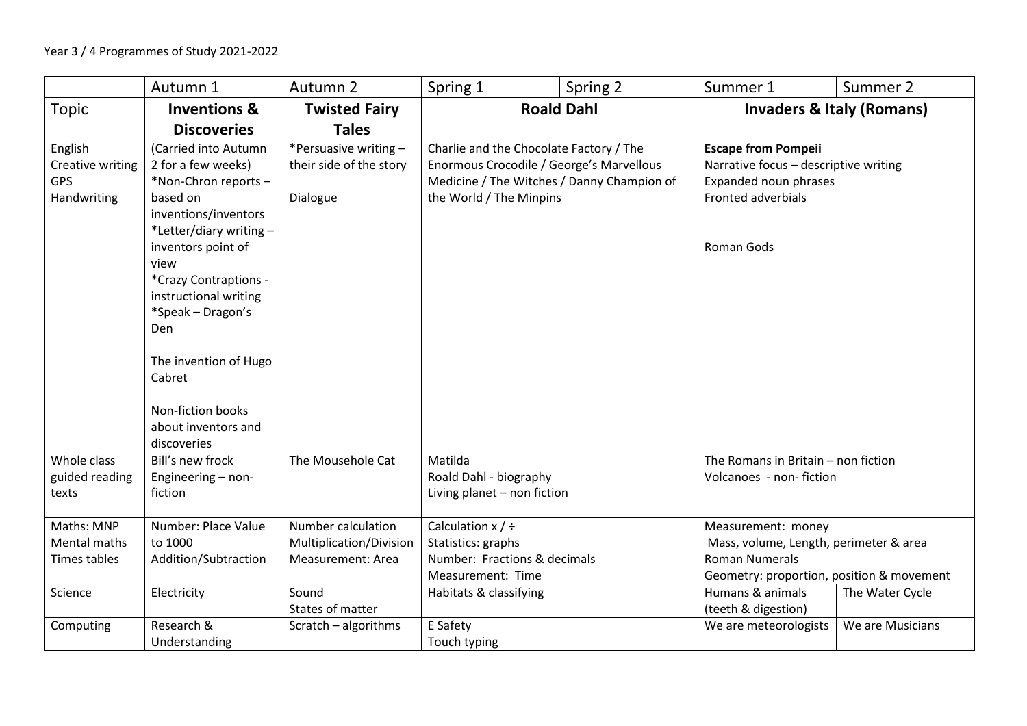|                                                          | Autumn 1                                                                                                                                                                                                                                                                                                                                  | Autumn 2                                                                    | Spring 1                                                                                                                                                     | Spring 2 | Summer 1                                                                                                                                               | Summer 2         |
|----------------------------------------------------------|-------------------------------------------------------------------------------------------------------------------------------------------------------------------------------------------------------------------------------------------------------------------------------------------------------------------------------------------|-----------------------------------------------------------------------------|--------------------------------------------------------------------------------------------------------------------------------------------------------------|----------|--------------------------------------------------------------------------------------------------------------------------------------------------------|------------------|
| Topic                                                    | <b>Inventions &amp;</b>                                                                                                                                                                                                                                                                                                                   | <b>Twisted Fairy</b>                                                        | <b>Roald Dahl</b>                                                                                                                                            |          | <b>Invaders &amp; Italy (Romans)</b>                                                                                                                   |                  |
|                                                          | <b>Discoveries</b>                                                                                                                                                                                                                                                                                                                        | <b>Tales</b>                                                                |                                                                                                                                                              |          |                                                                                                                                                        |                  |
| English<br>Creative writing<br><b>GPS</b><br>Handwriting | (Carried into Autumn<br>2 for a few weeks)<br>*Non-Chron reports-<br>based on<br>inventions/inventors<br>*Letter/diary writing-<br>inventors point of<br>view<br>*Crazy Contraptions -<br>instructional writing<br>*Speak - Dragon's<br>Den<br>The invention of Hugo<br>Cabret<br>Non-fiction books<br>about inventors and<br>discoveries | *Persuasive writing -<br>their side of the story<br>Dialogue                | Charlie and the Chocolate Factory / The<br>Enormous Crocodile / George's Marvellous<br>Medicine / The Witches / Danny Champion of<br>the World / The Minpins |          | <b>Escape from Pompeii</b><br>Narrative focus - descriptive writing<br>Expanded noun phrases<br>Fronted adverbials<br>Roman Gods                       |                  |
| Whole class<br>guided reading<br>texts                   | Bill's new frock<br>Engineering - non-<br>fiction                                                                                                                                                                                                                                                                                         | The Mousehole Cat                                                           | Matilda<br>Roald Dahl - biography<br>Living planet - non fiction                                                                                             |          | The Romans in Britain - non fiction<br>Volcanoes - non-fiction                                                                                         |                  |
| Maths: MNP<br>Mental maths<br>Times tables<br>Science    | Number: Place Value<br>to 1000<br>Addition/Subtraction<br>Electricity                                                                                                                                                                                                                                                                     | Number calculation<br>Multiplication/Division<br>Measurement: Area<br>Sound | Calculation $x / \div$<br>Statistics: graphs<br>Number: Fractions & decimals<br>Measurement: Time                                                            |          | Measurement: money<br>Mass, volume, Length, perimeter & area<br><b>Roman Numerals</b><br>Geometry: proportion, position & movement<br>Humans & animals |                  |
|                                                          |                                                                                                                                                                                                                                                                                                                                           | States of matter                                                            | Habitats & classifying                                                                                                                                       |          | (teeth & digestion)                                                                                                                                    | The Water Cycle  |
| Computing                                                | Research &<br>Understanding                                                                                                                                                                                                                                                                                                               | Scratch - algorithms                                                        | E Safety<br>Touch typing                                                                                                                                     |          | We are meteorologists                                                                                                                                  | We are Musicians |